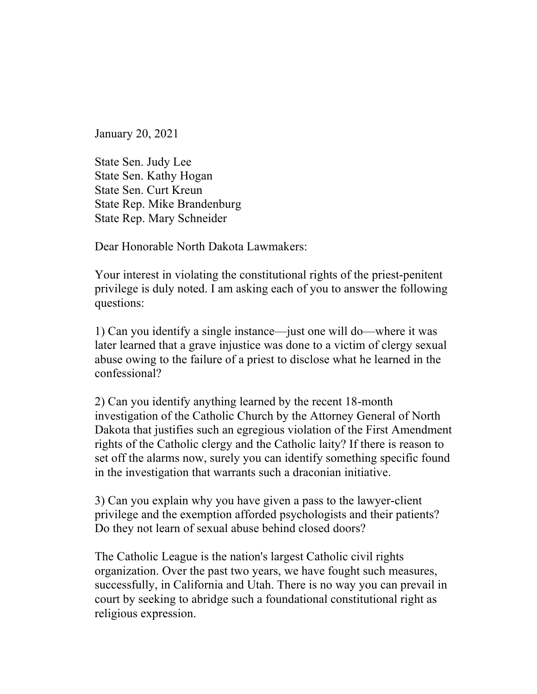January 20, 2021

State Sen. Judy Lee State Sen. Kathy Hogan State Sen. Curt Kreun State Rep. Mike Brandenburg State Rep. Mary Schneider

Dear Honorable North Dakota Lawmakers:

Your interest in violating the constitutional rights of the priest-penitent privilege is duly noted. I am asking each of you to answer the following questions:

1) Can you identify a single instance—just one will do—where it was later learned that a grave injustice was done to a victim of clergy sexual abuse owing to the failure of a priest to disclose what he learned in the confessional?

2) Can you identify anything learned by the recent 18-month investigation of the Catholic Church by the Attorney General of North Dakota that justifies such an egregious violation of the First Amendment rights of the Catholic clergy and the Catholic laity? If there is reason to set off the alarms now, surely you can identify something specific found in the investigation that warrants such a draconian initiative.

3) Can you explain why you have given a pass to the lawyer-client privilege and the exemption afforded psychologists and their patients? Do they not learn of sexual abuse behind closed doors?

The Catholic League is the nation's largest Catholic civil rights organization. Over the past two years, we have fought such measures, successfully, in California and Utah. There is no way you can prevail in court by seeking to abridge such a foundational constitutional right as religious expression.